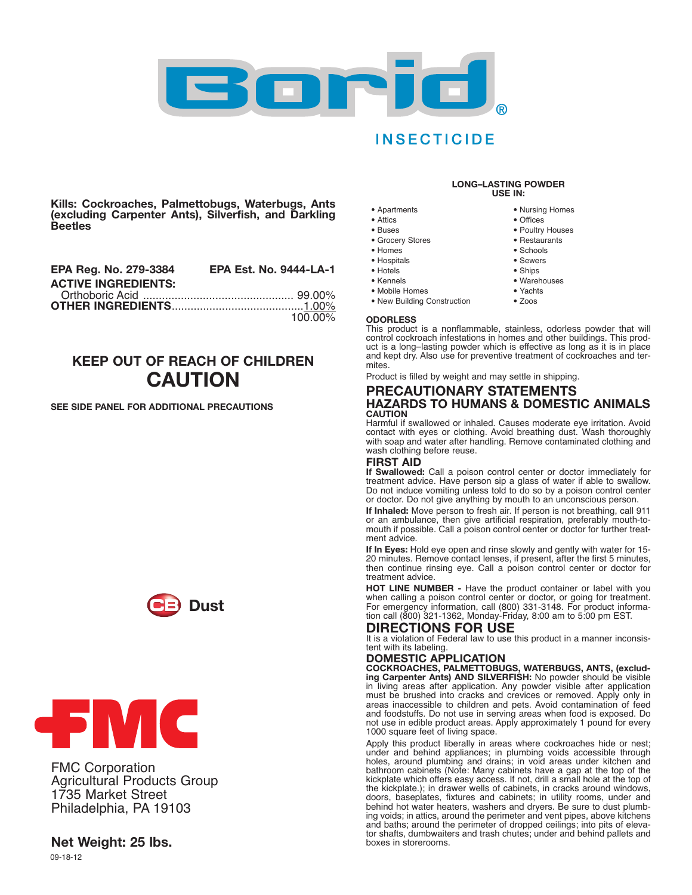

## **INSECTICIDE**

**Kills: Cockroaches, Palmettobugs, Waterbugs, Ants (excluding Carpenter Ants), Silverfish, and Darkling Beetles**

| <b>EPA Reg. No. 279-3384</b> | <b>EPA Est. No. 9444-LA-1</b> |
|------------------------------|-------------------------------|
| <b>ACTIVE INGREDIENTS:</b>   |                               |
|                              |                               |
|                              |                               |
|                              | 100.00%                       |

# **KEEP OUT OF REACH OF CHILDREN CAUTION**

#### **SEE SIDE PANEL FOR ADDITIONAL PRECAUTIONS**





FMC Corporation Agricultural Products Group 1735 Market Street Philadelphia, PA 19103

### **Net Weight: 25 lbs.**

09-18-12

#### **LONG–LASTING POWDER USE IN:**

- **•** Apartments
- **•** Attics
- **•** Buses
- **•** Grocery Stores
- **•** Homes
- **•** Hospitals
- **•** Hotels
- **•** Kennels
- **•** Mobile Homes
- **•** New Building Construction
- **•** Poultry Houses **•** Restaurants

**•** Nursing Homes **•** Offices

- **•** Schools
- **•** Sewers
- **•** Ships
- **•** Warehouses
- **•** Yachts
	- **•** Zoos

#### **ODORLESS**

This product is a nonflammable, stainless, odorless powder that will control cockroach infestations in homes and other buildings. This product is a long–lasting powder which is effective as long as it is in place and kept dry. Also use for preventive treatment of cockroaches and termites.

Product is filled by weight and may settle in shipping.

#### **PRECAUTIONARY STATEMENTS HAZARDS TO HUMANS & DOMESTIC ANIMALS CAUTION**

Harmful if swallowed or inhaled. Causes moderate eye irritation. Avoid contact with eyes or clothing. Avoid breathing dust. Wash thoroughly with soap and water after handling. Remove contaminated clothing and wash clothing before reuse.

#### **FIRST AID**

**If Swallowed:** Call a poison control center or doctor immediately for treatment advice. Have person sip a glass of water if able to swallow. Do not induce vomiting unless told to do so by a poison control center or doctor. Do not give anything by mouth to an unconscious person.

**If Inhaled:** Move person to fresh air. If person is not breathing, call 911 or an ambulance, then give artificial respiration, preferably mouth-tomouth if possible. Call a poison control center or doctor for further treatment advice.

**If In Eyes:** Hold eye open and rinse slowly and gently with water for 15- 20 minutes. Remove contact lenses, if present, after the first 5 minutes, then continue rinsing eye. Call a poison control center or doctor for treatment advice.

**HOT LINE NUMBER -** Have the product container or label with you when calling <sup>a</sup> poison control center or doctor, or going for treatment. For emergency information, call (800) 331-3148. For product information call (800) 321-1362, Monday-Friday, 8:00 am to 5:00 pm EST.

### **DIRECTIONS FOR USE**

It is a violation of Federal law to use this product in a manner inconsistent with its labeling.

**DOMESTIC APPLICATION COCKROACHES, PALMETTOBUGS, WATERBUGS, ANTS, (excluding Carpenter Ants) AND SILVERFISH:** No powder should be visible in living areas after application. Any powder visible after application must be brushed into cracks and crevices or removed. Apply only in areas inaccessible to children and pets. Avoid contamination of feed and foodstuffs. Do not use in serving areas when food is exposed. Do not use in edible product areas. Apply approximately 1 pound for every 1000 square feet of living space.

Apply this product liberally in areas where cockroaches hide or nest; under and behind appliances; in plumbing voids accessible through holes, around plumbing and drains; in void areas under kitchen and bathroom cabinets (Note: Many cabinets have a gap at the top of the kickplate which offers easy access. If not, drill a small hole at the top of the kickplate.); in drawer wells of cabinets, in cracks around windows, doors, baseplates, fixtures and cabinets; in utility rooms, under and behind hot water heaters, washers and dryers. Be sure to dust plumbing voids; in attics, around the perimeter and vent pipes, above kitchens and baths; around the perimeter of dropped ceilings; into pits of elevator shafts, dumbwaiters and trash chutes; under and behind pallets and boxes in storerooms.